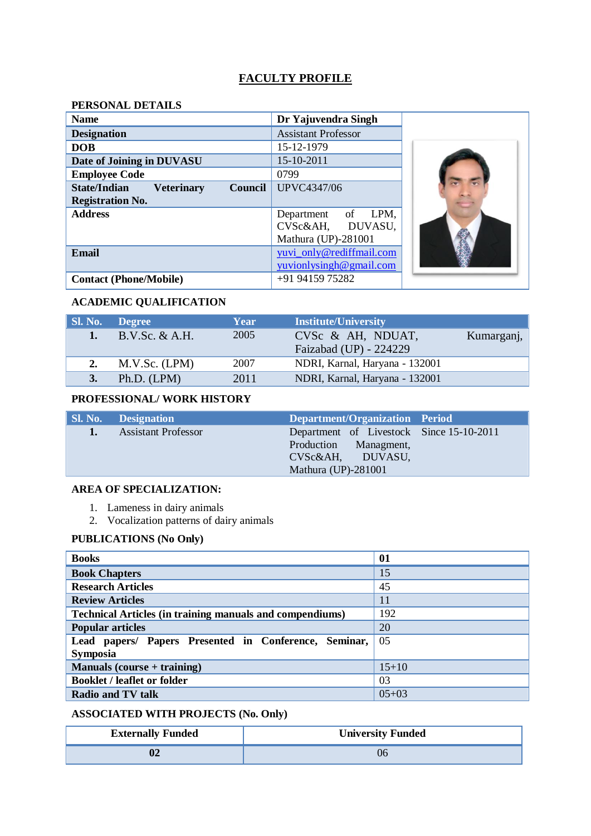## **FACULTY PROFILE**

# **PERSONAL DETAILS**

| <b>Name</b>                                                | Dr Yajuvendra Singh        |  |
|------------------------------------------------------------|----------------------------|--|
| <b>Designation</b>                                         | <b>Assistant Professor</b> |  |
| <b>DOB</b>                                                 | 15-12-1979                 |  |
| Date of Joining in DUVASU                                  | 15-10-2011                 |  |
| <b>Employee Code</b>                                       | 0799                       |  |
| <b>State/Indian</b><br><b>Veterinary</b><br><b>Council</b> | <b>UPVC4347/06</b>         |  |
| <b>Registration No.</b>                                    |                            |  |
| <b>Address</b>                                             | LPM,<br>Department of      |  |
|                                                            | CVSc&AH, DUVASU,           |  |
|                                                            | Mathura (UP)-281001        |  |
| <b>Email</b>                                               | yuvi_only@rediffmail.com   |  |
|                                                            | yuvionlysingh@gmail.com    |  |
| <b>Contact (Phone/Mobile)</b>                              | +91 94159 75282            |  |

# **ACADEMIC QUALIFICATION**

| <b>SI. No. 4</b> | <b>Degree</b>  | Year | <b>Institute/University</b>    |            |
|------------------|----------------|------|--------------------------------|------------|
| $\mathbf{1}$ .   | B.V.Sc. & A.H. | 2005 | CVSc & AH, NDUAT,              | Kumarganj, |
|                  |                |      | Faizabad (UP) - 224229         |            |
| 2.               | M.V.Sc. (LPM)  | 2007 | NDRI, Karnal, Haryana - 132001 |            |
|                  | Ph.D. (LPM)    | 2011 | NDRI, Karnal, Haryana - 132001 |            |

### **PROFESSIONAL/ WORK HISTORY**

| <b>Sl. No. Designation</b> | Department/Organization Period           |  |
|----------------------------|------------------------------------------|--|
| <b>Assistant Professor</b> | Department of Livestock Since 15-10-2011 |  |
|                            | Production Managment,                    |  |
|                            | CVSc&AH, DUVASU,                         |  |
|                            | Mathura (UP)-281001                      |  |

### **AREA OF SPECIALIZATION:**

- 1. Lameness in dairy animals
- 2. Vocalization patterns of dairy animals

# **PUBLICATIONS (No Only)**

| <b>Books</b>                                                    | 01        |
|-----------------------------------------------------------------|-----------|
| <b>Book Chapters</b>                                            | 15        |
| <b>Research Articles</b>                                        | 45        |
| <b>Review Articles</b>                                          | 11        |
| <b>Technical Articles (in training manuals and compendiums)</b> | 192       |
| <b>Popular articles</b>                                         | 20        |
| Lead papers/ Papers Presented in Conference, Seminar,           | 05        |
| <b>Symposia</b>                                                 |           |
| Manuals (course + training)                                     | $15 + 10$ |
| <b>Booklet / leaflet or folder</b>                              | 03        |
| Radio and TV talk                                               | $05 + 03$ |

# **ASSOCIATED WITH PROJECTS (No. Only)**

| <b>Externally Funded</b> | <b>University Funded</b> |
|--------------------------|--------------------------|
|                          |                          |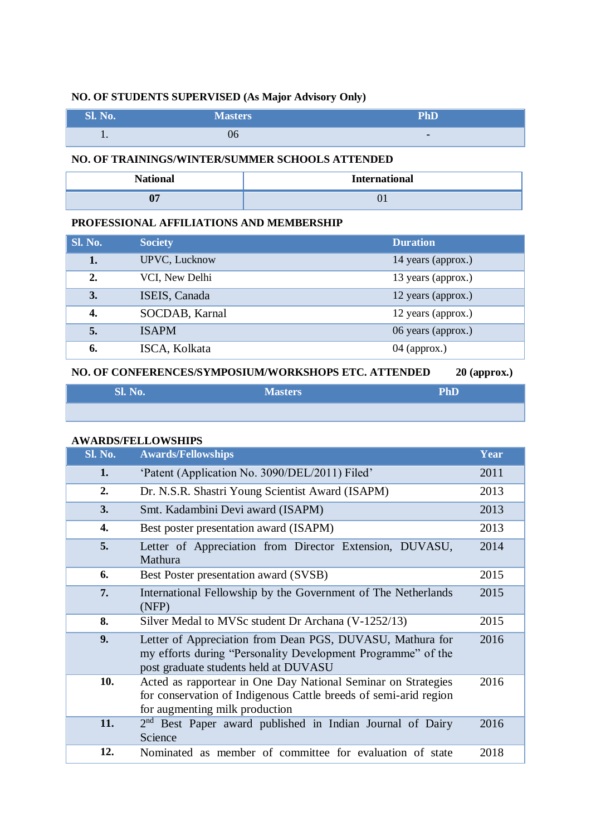# **NO. OF STUDENTS SUPERVISED (As Major Advisory Only)**

| <b>Sl. No.</b> | <b>Masters</b> | PhD          |
|----------------|----------------|--------------|
| $\cdot$ .      | UQ             | <b>COLUM</b> |

#### **NO. OF TRAININGS/WINTER/SUMMER SCHOOLS ATTENDED**

| $N$ $\ddot{\alpha}$ | <b>International</b> |
|---------------------|----------------------|
| v,                  | v 1                  |

#### **PROFESSIONAL AFFILIATIONS AND MEMBERSHIP**

| Sl. No. | <b>Society</b> | <b>Duration</b>    |
|---------|----------------|--------------------|
| 1.      | UPVC, Lucknow  | 14 years (approx.) |
| 2.      | VCI, New Delhi | 13 years (approx.) |
| 3.      | ISEIS, Canada  | 12 years (approx.) |
| 4.      | SOCDAB, Karnal | 12 years (approx.) |
| 5.      | <b>ISAPM</b>   | 06 years (approx.) |
| 6.      | ISCA, Kolkata  | $04$ (approx.)     |

## **NO. OF CONFERENCES/SYMPOSIUM/WORKSHOPS ETC. ATTENDED 20 (approx.)**

| Sl. No. | <b>Masters</b> | $\mathbf{D}\mathbf{h}\mathbf{D}$<br>. |
|---------|----------------|---------------------------------------|
|         |                |                                       |

#### **AWARDS/FELLOWSHIPS**

| <b>Sl. No.</b> | <b>Awards/Fellowships</b>                                                                                                                                           | Year |
|----------------|---------------------------------------------------------------------------------------------------------------------------------------------------------------------|------|
| 1.             | 'Patent (Application No. 3090/DEL/2011) Filed'                                                                                                                      | 2011 |
| 2.             | Dr. N.S.R. Shastri Young Scientist Award (ISAPM)                                                                                                                    | 2013 |
| 3.             | Smt. Kadambini Devi award (ISAPM)                                                                                                                                   | 2013 |
| 4.             | Best poster presentation award (ISAPM)                                                                                                                              | 2013 |
| 5.             | Letter of Appreciation from Director Extension, DUVASU,<br>Mathura                                                                                                  | 2014 |
| 6.             | Best Poster presentation award (SVSB)                                                                                                                               | 2015 |
| 7.             | International Fellowship by the Government of The Netherlands<br>(NFP)                                                                                              | 2015 |
| 8.             | Silver Medal to MVSc student Dr Archana (V-1252/13)                                                                                                                 | 2015 |
| 9.             | Letter of Appreciation from Dean PGS, DUVASU, Mathura for<br>my efforts during "Personality Development Programme" of the<br>post graduate students held at DUVASU  | 2016 |
| 10.            | Acted as rapportear in One Day National Seminar on Strategies<br>for conservation of Indigenous Cattle breeds of semi-arid region<br>for augmenting milk production | 2016 |
| 11.            | $2nd$ Best Paper award published in Indian Journal of Dairy<br>Science                                                                                              | 2016 |
| 12.            | Nominated as member of committee for evaluation of state                                                                                                            | 2018 |